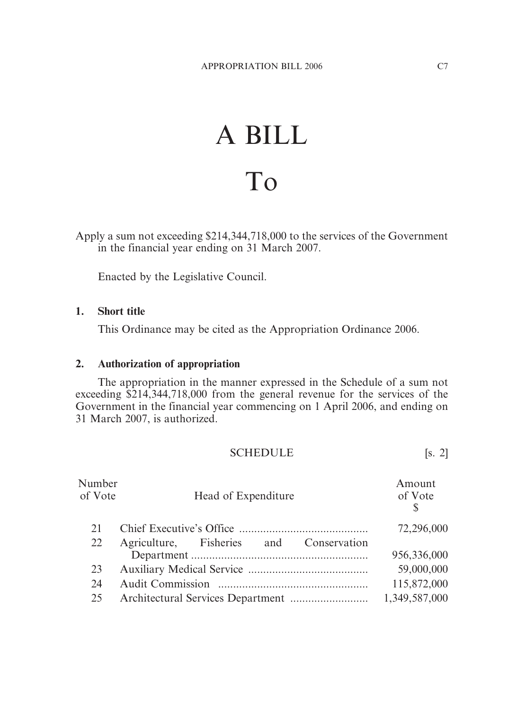## A BILL To

Apply a sum not exceeding \$214,344,718,000 to the services of the Government in the financial year ending on 31 March 2007.

Enacted by the Legislative Council.

## **1. Short title**

This Ordinance may be cited as the Appropriation Ordinance 2006.

## **2. Authorization of appropriation**

The appropriation in the manner expressed in the Schedule of a sum not exceeding \$214,344,718,000 from the general revenue for the services of the Government in the financial year commencing on 1 April 2006, and ending on 31 March 2007, is authorized.

| <b>SCHEDULE</b> |  |  |
|-----------------|--|--|
|                 |  |  |

| Number<br>of Vote | Head of Expenditure                     | Amount<br>of Vote<br>$\mathcal{S}$ |
|-------------------|-----------------------------------------|------------------------------------|
| 21                |                                         | 72,296,000                         |
| 22                | Agriculture, Fisheries and Conservation | 956,336,000                        |
| 23                |                                         | 59,000,000                         |
| 24                |                                         | 115,872,000                        |
| 25                |                                         | 1,349,587,000                      |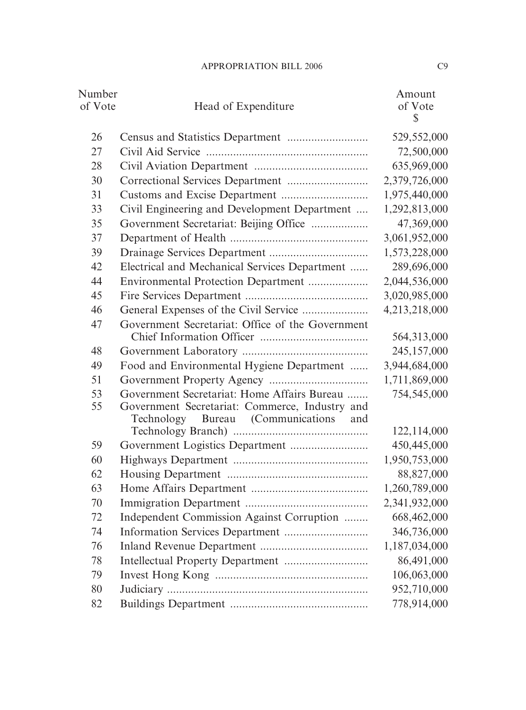| Number<br>of Vote | Head of Expenditure                                                                                                                       | Amount<br>of Vote<br>$\mathbb{S}$ |
|-------------------|-------------------------------------------------------------------------------------------------------------------------------------------|-----------------------------------|
| 26                |                                                                                                                                           | 529,552,000                       |
| 27                |                                                                                                                                           | 72,500,000                        |
| 28                |                                                                                                                                           | 635,969,000                       |
| 30                |                                                                                                                                           | 2,379,726,000                     |
| 31                |                                                                                                                                           | 1,975,440,000                     |
| 33                | Civil Engineering and Development Department                                                                                              | 1,292,813,000                     |
| 35                | Government Secretariat: Beijing Office                                                                                                    | 47,369,000                        |
| 37                |                                                                                                                                           | 3,061,952,000                     |
| 39                |                                                                                                                                           | 1,573,228,000                     |
| 42                | Electrical and Mechanical Services Department                                                                                             | 289,696,000                       |
| 44                | Environmental Protection Department                                                                                                       | 2,044,536,000                     |
| 45                |                                                                                                                                           | 3,020,985,000                     |
| 46                |                                                                                                                                           | 4,213,218,000                     |
| 47                | Government Secretariat: Office of the Government                                                                                          | 564,313,000                       |
| 48                |                                                                                                                                           | 245,157,000                       |
| 49                | Food and Environmental Hygiene Department                                                                                                 | 3,944,684,000                     |
| 51                |                                                                                                                                           | 1,711,869,000                     |
| 53<br>55          | Government Secretariat: Home Affairs Bureau<br>Government Secretariat: Commerce, Industry and<br>Technology Bureau (Communications<br>and | 754,545,000                       |
|                   |                                                                                                                                           | 122,114,000                       |
| 59                | Government Logistics Department                                                                                                           | 450,445,000                       |
| 60                |                                                                                                                                           | 1,950,753,000                     |
| 62                |                                                                                                                                           | 88,827,000                        |
| 63                |                                                                                                                                           | 1,260,789,000                     |
| 70                |                                                                                                                                           | 2,341,932,000                     |
| 72                | Independent Commission Against Corruption                                                                                                 | 668,462,000                       |
| 74                |                                                                                                                                           | 346,736,000                       |
| 76                |                                                                                                                                           | 1,187,034,000                     |
| 78                |                                                                                                                                           | 86,491,000                        |
| 79                |                                                                                                                                           | 106,063,000                       |
| 80                |                                                                                                                                           | 952,710,000                       |
| 82                |                                                                                                                                           | 778,914,000                       |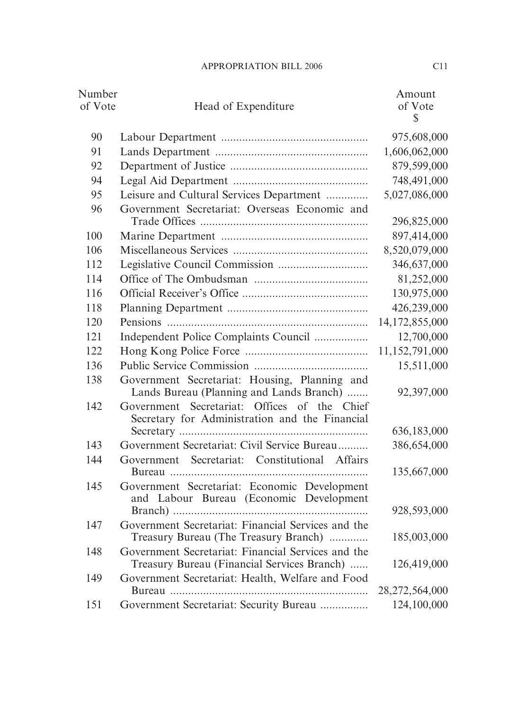| Number<br>of Vote | Head of Expenditure                                                                               | Amount<br>of Vote<br>$\mathbb{S}$ |
|-------------------|---------------------------------------------------------------------------------------------------|-----------------------------------|
| 90                |                                                                                                   | 975,608,000                       |
| 91                |                                                                                                   | 1,606,062,000                     |
| 92                |                                                                                                   | 879,599,000                       |
| 94                |                                                                                                   | 748,491,000                       |
| 95                | Leisure and Cultural Services Department                                                          | 5,027,086,000                     |
| 96                | Government Secretariat: Overseas Economic and                                                     | 296,825,000                       |
| 100               |                                                                                                   | 897,414,000                       |
| 106               |                                                                                                   | 8,520,079,000                     |
| 112               |                                                                                                   | 346,637,000                       |
| 114               |                                                                                                   | 81,252,000                        |
| 116               |                                                                                                   | 130,975,000                       |
| 118               |                                                                                                   | 426,239,000                       |
| 120               |                                                                                                   | 14,172,855,000                    |
| 121               | Independent Police Complaints Council                                                             | 12,700,000                        |
| 122               |                                                                                                   | 11,152,791,000                    |
| 136               |                                                                                                   | 15,511,000                        |
| 138               | Government Secretariat: Housing, Planning and<br>Lands Bureau (Planning and Lands Branch)         | 92,397,000                        |
| 142               | Government Secretariat: Offices of the Chief<br>Secretary for Administration and the Financial    |                                   |
|                   |                                                                                                   | 636,183,000                       |
| 143               | Government Secretariat: Civil Service Bureau                                                      | 386,654,000                       |
| 144               | Government Secretariat: Constitutional Affairs                                                    | 135,667,000                       |
| 145               | Government Secretariat: Economic Development<br>and Labour Bureau (Economic Development           | 928,593,000                       |
| 147               | Government Secretariat: Financial Services and the                                                |                                   |
|                   | Treasury Bureau (The Treasury Branch)                                                             | 185,003,000                       |
| 148               | Government Secretariat: Financial Services and the<br>Treasury Bureau (Financial Services Branch) | 126,419,000                       |
| 149               | Government Secretariat: Health, Welfare and Food                                                  | 28,272,564,000                    |
| 151               | Government Secretariat: Security Bureau                                                           | 124,100,000                       |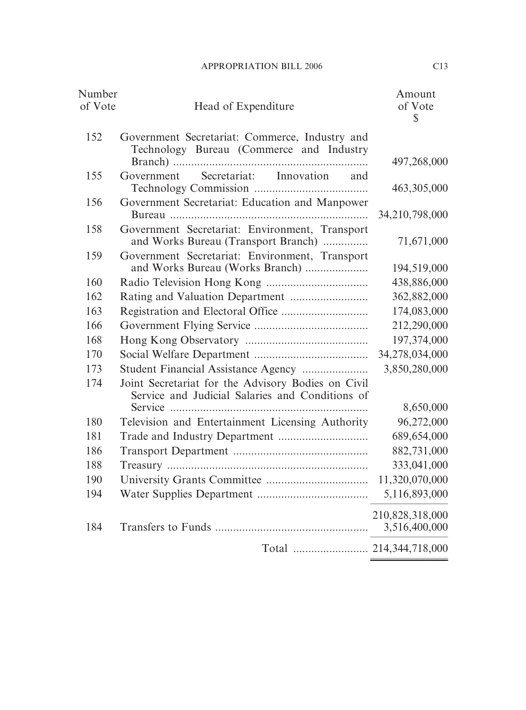| Number<br>of Vote<br>Head of Expenditure                                                                     | Amount<br>of Vote<br>S           |
|--------------------------------------------------------------------------------------------------------------|----------------------------------|
| 152<br>Government Secretariat: Commerce, Industry and<br>Technology Bureau (Commerce and Industry            | 497,268,000                      |
| Secretariat: Innovation<br>155<br>Government<br>and                                                          | 463,305,000                      |
| Government Secretariat: Education and Manpower<br>156                                                        | 34,210,798,000                   |
| Government Secretariat: Environment, Transport<br>158<br>and Works Bureau (Transport Branch)                 | 71,671,000                       |
| Government Secretariat: Environment, Transport<br>159                                                        | 194,519,000                      |
| 160                                                                                                          | 438,886,000                      |
| 162                                                                                                          | 362,882,000                      |
| 163                                                                                                          | 174,083,000                      |
| 166                                                                                                          | 212,290,000                      |
| 168                                                                                                          | 197,374,000                      |
| 170                                                                                                          | 34,278,034,000                   |
| Student Financial Assistance Agency<br>173                                                                   | 3,850,280,000                    |
| Joint Secretariat for the Advisory Bodies on Civil<br>174<br>Service and Judicial Salaries and Conditions of |                                  |
| 180<br>Television and Entertainment Licensing Authority                                                      | 8,650,000<br>96,272,000          |
| 181                                                                                                          | 689,654,000                      |
| 186                                                                                                          | 882,731,000                      |
| 188                                                                                                          | 333,041,000                      |
| 190                                                                                                          | 11,320,070,000                   |
| 194                                                                                                          | 5,116,893,000                    |
| 184                                                                                                          | 210,828,318,000<br>3,516,400,000 |
|                                                                                                              |                                  |